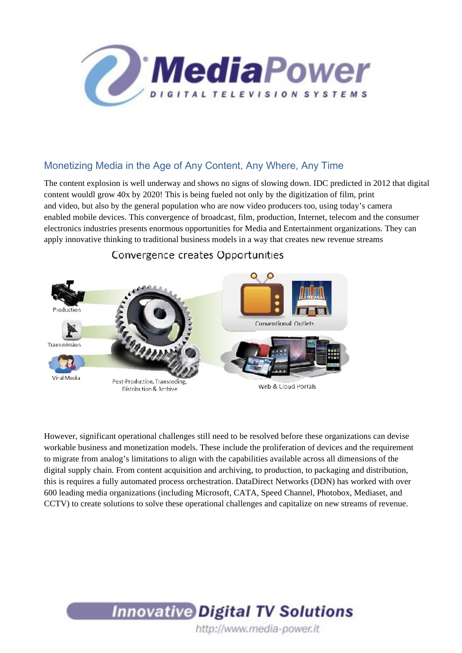

# Monetizing Media in the Age of Any Content, Any Where, Any Time

The content explosion is well underway and shows no signs of slowing down. IDC predicted in 2012 that digital content wouldl grow 40x by 2020! This is being fueled not only by the digitization of film, print and video, but also by the general population who are now video producers too, using today's camera enabled mobile devices. This convergence of broadcast, film, production, Internet, telecom and the consumer electronics industries presents enormous opportunities for Media and Entertainment organizations. They can apply innovative thinking to traditional business models in a way that creates new revenue streams



## Convergence creates Opportunities

However, significant operational challenges still need to be resolved before these organizations can devise workable business and monetization models. These include the proliferation of devices and the requirement to migrate from analog's limitations to align with the capabilities available across all dimensions of the digital supply chain. From content acquisition and archiving, to production, to packaging and distribution, this is requires a fully automated process orchestration. DataDirect Networks (DDN) has worked with over 600 leading media organizations (including Microsoft, CATA, Speed Channel, Photobox, Mediaset, and CCTV) to create solutions to solve these operational challenges and capitalize on new streams of revenue.

# **Innovative Digital TV Solutions** http://www.media-power.it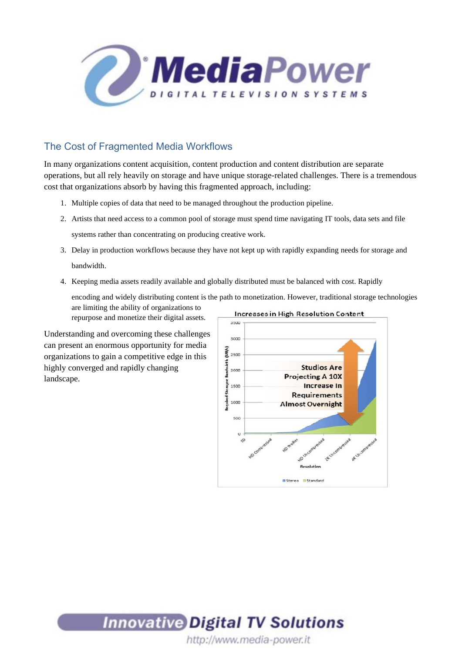

# The Cost of Fragmented Media Workflows

In many organizations content acquisition, content production and content distribution are separate operations, but all rely heavily on storage and have unique storage-related challenges. There is a tremendous cost that organizations absorb by having this fragmented approach, including:

- 1. Multiple copies of data that need to be managed throughout the production pipeline.
- 2. Artists that need access to a common pool of storage must spend time navigating IT tools, data sets and file systems rather than concentrating on producing creative work.
- 3. Delay in production workflows because they have not kept up with rapidly expanding needs for storage and bandwidth.
- 4. Keeping media assets readily available and globally distributed must be balanced with cost. Rapidly

encoding and widely distributing content is the path to monetization. However, traditional storage technologies are limiting the ability of organizations to

repurpose and monetize their digital assets.

Understanding and overcoming these challenges can present an enormous opportunity for media organizations to gain a competitive edge in this highly converged and rapidly changing landscape.





http://www.media-power.it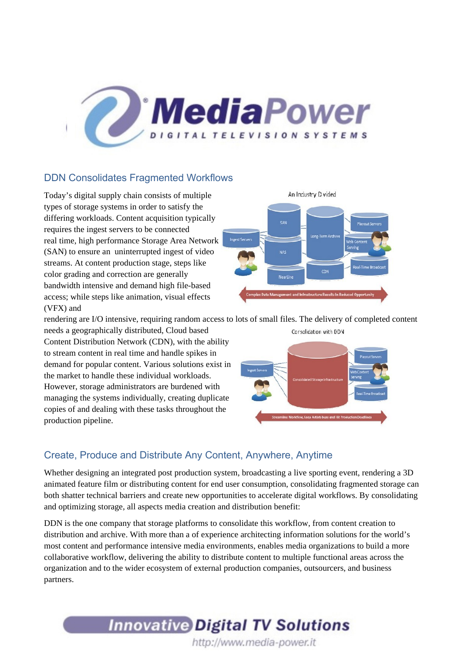

## DDN Consolidates Fragmented Workflows

Today's digital supply chain consists of multiple types of storage systems in order to satisfy the differing workloads. Content acquisition typically requires the ingest servers to be connected real time, high performance Storage Area Network (SAN) to ensure an uninterrupted ingest of video streams. At content production stage, steps like color grading and correction are generally bandwidth intensive and demand high file-based access; while steps like animation, visual effects (VFX) and



rendering are I/O intensive, requiring random access to lots of small files. The delivery of completed content needs a geographically distributed, Cloud based Consolidation with DDN

Content Distribution Network (CDN), with the ability to stream content in real time and handle spikes in demand for popular content. Various solutions exist in the market to handle these individual workloads. However, storage administrators are burdened with managing the systems individually, creating duplicate copies of and dealing with these tasks throughout the production pipeline.



## Create, Produce and Distribute Any Content, Anywhere, Anytime

Whether designing an integrated post production system, broadcasting a live sporting event, rendering a 3D animated feature film or distributing content for end user consumption, consolidating fragmented storage can both shatter technical barriers and create new opportunities to accelerate digital workflows. By consolidating and optimizing storage, all aspects media creation and distribution benefit:

DDN is the one company that storage platforms to consolidate this workflow, from content creation to distribution and archive. With more than a of experience architecting information solutions for the world's most content and performance intensive media environments, enables media organizations to build a more collaborative workflow, delivering the ability to distribute content to multiple functional areas across the organization and to the wider ecosystem of external production companies, outsourcers, and business partners.